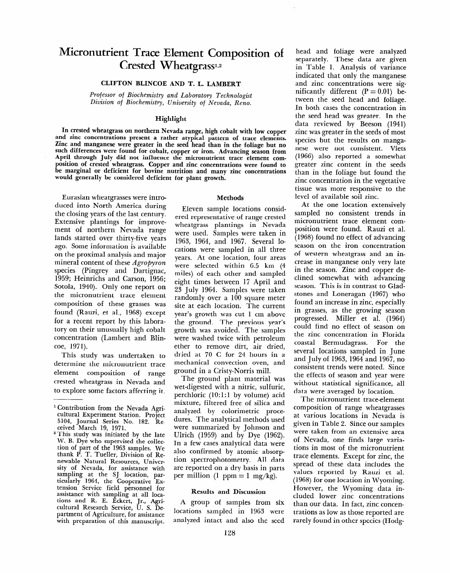# **Micronutrient Trace Element Composition of**  Crested Wheatgrass<sup>1,2</sup>

## CLIFTON BLINCOE AND T. L. LAMBERT

*Professor* **of** *Biochemistry and Laboratory Technologist Division* **of** *Biochemistry, University of Nevada, Reno.* 

## **Highlight**

In crested wheatgrass on northern Nevada range, high cobalt with low copper and zinc concentrations present a rather atypical pattern of trace elements. Zinc and manganese were greater in the seed head than in the foliage but no such differences were found for cobalt, copper or iron. Advancing season from April through July did not influence the micronutrient trace element composition of crested wheatgrass. Copper and zinc concentrations were found to be marginal or deficient for bovine nutrition and many zinc concentrations would generally be considered deficient for plant growth.

Eurasian wheatgrasses were introduced into North America during the closing years of the last century. Extensive plantings for improvement of northern Nevada range lands started over thirty-five years ago. Some information is available on the proximal analysis and major mineral content of these *Agropyron*  species (Pingrey and Dartignac, 1959; Heinrichs and Carson, 1956; Sotola, 1940). Only one report on the micronutrient trace element composition of these grasses was found (Rauzi, et al., 1968) except for a recent report by this laboratory on their unusually high cobalt concentration (Lambert and Blincoe, 1971).

This study was undertaken to determine the micronutrient trace element composition of range crested wheatgrass in Nevada and to explore some factors affecting it.

#### **Methods**

Eleven sample locations considered representative of range crested wheatgrass plantings in Nevada were used. Samples were taken in 1963, 1964, and 1967. Several locations were sampled in all three years. At one location, four areas were selected within 6.5 km (4 miles) of each other and sampled eight times between 17 April and 23 July 1964. Samples were taken randomly over a 100 square meter site at each location. The current year's growth was cut 1 cm above the ground. The previous year's growth was avoided. The samples were washed twice with petroleum ether to remove dirt, air dried, dried at 70 C for 24 hours in a mechanical convection oven, and ground in a Cristy-Norris mill.

The ground plant material was wet-digested with a nitric, sulfuric, perchloric  $(10:1:1$  by volume) acid mixture, filtered free of silica and  $\frac{1}{2}$  and  $\frac{1}{2}$  and  $\frac{1}{2}$  and  $\frac{1}{2}$  and  $\frac{1}{2}$  and  $\frac{1}{2}$  and  $\frac{1}{2}$  and  $\frac{1}{2}$  and  $\frac{1}{2}$  and  $\frac{1}{2}$  and  $\frac{1}{2}$  and  $\frac{1}{2}$  and  $\frac{1}{2}$  and  $\frac{1}{2}$  and  $\frac{1}{2}$  and  $\frac{1}{2}$  a duright of comments process wares. The analytical methods used  $U_{\text{U}}$  and by Dimson and by Dimson and by  $U_{\text{U}}$ Ulrich  $(1959)$  and by Dye  $(1962)$ . In a few cases analytical data were also confirmed by atomic absorption spectrophotometry. All data are reported on a dry basis in parts<br>per million (1 ppm = 1 mg/kg).

## Results and Discussion

 $A$  group of samples from six  $\mathcal{L}$  and six  $\mathcal{L}$  and six  $\mathcal{L}$  and six  $\mathcal{L}$  $\frac{1}{2}$  group or samples nom six locations sampled in 1963 were<br>analyzed intact and also the seed head and foliage were analyzed separately. These data are given in Table 1. Analysis of variance indicated that only the manganese and zinc concentrations were significantly different  $(P = 0.01)$  between the seed head and foliage. In both cases the concentration in the seed head was greater. In the data reviewed by Beeson (1941) zinc was greater in the seeds of most species but the results on manganese were not consistent. Viets (1966) also reported a somewhat greater zinc content in the seeds than in the foliage but found the zinc concentration in the vegetative tissue was more responsive to the level of available soil zinc.

At the one location extensively sampled no consistent trends in micronutrient trace element composition were found. Rauzi et al. (1968) found no effect of advancing season on the iron concentration of western wheatgrass and an increase in manganese only very late in the season. Zinc and copper declined somewhat with advancing season. This is in contrast to Gladstones and Loneragan (1967) who found an increase in zinc, especially in grasses, as the growing season progressed. Miller et al. (1964) could find no effect of season on the zinc concentration in Florida coastal Bermudagrass. For the several locations sampled in June and Tule of 1969, 1964 and 1967 and  $\int_0^1 f(x) \, dx$  is not and  $\int_0^1 f(x) \, dx$ consistent trends were noted. Since<br>the effects of season and year were  $\frac{1}{1}$  statistical statistical significance, and  $\frac{1}{1}$  significance, all miliout statistical significance

data were averaged by location.<br>The micronutrient trace-element THE INCONDUCTED LACE CITIEL composition of Tange wheatgrasses at various locations in Nevada is given in Table 2. Since our samples were taken from an extensive area of Nevada, one finds large variations in most of the micronutrient trace elements. Except for zinc, the spread of these data includes the values reported by Rauzi et al.  $(1968)$  for one location in Wyoming. However, the Wyoming data included lower zinc concentrations than our data. In fact, zinc concentrations as low as those reported are rarely found in other species (Hodg-

 $\frac{1}{2}$  Contribution from the Nevada Agriccontribution from the Nevada Agricultural Experiment Station. Project 5104, Journal Series No. 182. Re-<br>ceived March 19, 1971. ceived march 19, 1971.

I lift study was initiated by the late W. B. Dye who supervised the collection of part of the 1963 samples. We thank P. T. Tueller, Division of Renewable Natural Resources, University of Nevada, for assistance with sampling at the SJ location, particularly 1964, the Cooperative Extension Service field personnel for assistance with sampling at all locations and R. E. Eckert, Jr., Agricultural Research Service, U. S. Department of Agriculture, for assistance<br>with preparation of this manuscript.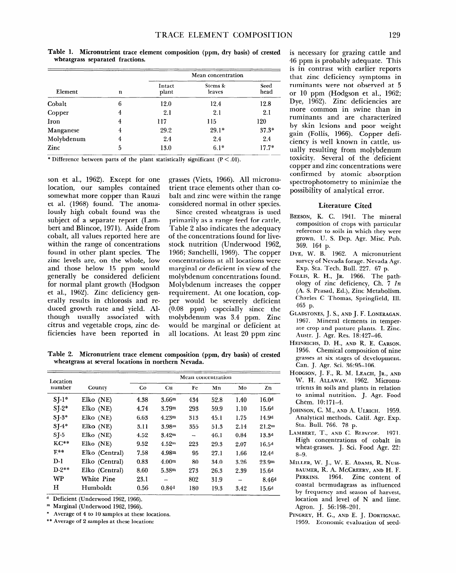| -------<br><i>rancondition trace element composition (ppm, ary basis)</i> or crested<br>wheatgrass separated fractions. |   |                    |                   |              |  |  |  |  |
|-------------------------------------------------------------------------------------------------------------------------|---|--------------------|-------------------|--------------|--|--|--|--|
| Element                                                                                                                 |   | Mean concentration |                   |              |  |  |  |  |
|                                                                                                                         | n | Intact<br>plant    | Stems &<br>leaves | Seed<br>head |  |  |  |  |
| Cobalt                                                                                                                  |   | 12.0               | 124               | l 2.8        |  |  |  |  |

**Table 1. Micronutrient trace element composition (ppm, dry basis) of crested** 

**\* Difference between parts of the plant statistically significant (P < .Ol).** 

Copper 4 2.1 2.1 **Iron 4 117 115 Manganese** 4 29.2 29.1\* **Molybdenum 4 2.4 2.4 Zinc** 5 13.0 6.1\*

**son** et al., 1962). Except for one location, our samples contained somewhat more copper than Rauzi et al. (1968) found. The anomalously high cobalt found was the subject of a separate report (Lambert and Blincoe, 1971). Aside from cobalt, all values reported here are within the range of concentrations found in other plant species. The zinc levels are, on the whole, low and those below 15 ppm would generally be considered deficient for normal plant growth (Hodgson et al., 1962). Zinc deficiency generally results in chlorosis and reduced growth rate and yield. Although usually associated with citrus and vegetable crops, zinc deficiencies have been reported in

grasses (Viets, 1966). All micronutrient trace elements other than cobalt, and zinc were within the range considered normal in other species.

**2.1 120 37.3" 2.4 17.7"** 

Since crested wheatgrass is used primarily as a range feed for cattle, Table 2 also indicates the adequacy of the concentrations found for livestock nutrition (Underwood 1962, 1966; Sanchelli, 1969). The copper concentrations at all locations were marginal or deficient in view of the molybdenum concentrations found. Molybdenum increases the copper requirement. At one location, copper would be severely deficient (0.08 ppm) especially since the molybdenum was 3.4 ppm. Zinc would be marginal or deficient at all locations. At least 20 ppm zinc

**Table 2. Micronutrient trace element composition (ppm, dry basis) of crested wheatgrass at several locations in northern Nevada.** 

| Location<br>number |                | Mean concentration |                   |     |      |                          |                   |  |
|--------------------|----------------|--------------------|-------------------|-----|------|--------------------------|-------------------|--|
|                    | County         | Co                 | Cu                | Fe  | Мn   | Mo                       | Zn                |  |
| $SJ-1$ *           | Elko (NE)      | 4.38               | 3.66 <sup>m</sup> | 434 | 52.8 | 1.40                     | 16.0 <sup>d</sup> |  |
| $SI-2*$            | Elko (NE)      | 4.74               | 3.79 <sup>m</sup> | 293 | 59.9 | 1.10                     | 15.6 <sup>d</sup> |  |
| $S_J - 3^*$        | Elko (NE)      | 6.63               | 4.23 <sup>m</sup> | 313 | 45.1 | 1.75                     | 14.9 <sup>d</sup> |  |
| $SI-4*$            | Elko (NE)      | 3.11               | 3.98 <sup>m</sup> | 355 | 51.3 | 2.14                     | 21.2 <sup>m</sup> |  |
| $S_J-5$            | $Elko$ (NE)    | 4.52               | 3.42 <sup>m</sup> |     | 46.1 | 0.84                     | 13.3 <sup>d</sup> |  |
| $KC**$             | Elko (NE)      | 9.52               | 4.52 <sup>m</sup> | 223 | 29.3 | 2.07                     | 16.5 <sup>d</sup> |  |
| $F^{**}$           | Elko (Central) | 7.58               | 4.98m             | 95  | 27.1 | 1.66                     | 12.4 <sup>d</sup> |  |
| $D-1$              | Elko (Central) | 0.83               | 4.00 <sup>m</sup> | 80  | 34.0 | 3.26                     | 23.9 <sup>m</sup> |  |
| $D-2**$            | Elko (Central) | 8.60               | 5.38m             | 273 | 26.3 | 2.39                     | 15.6 <sup>d</sup> |  |
| <b>WP</b>          | White Pine     | 23.1               |                   | 802 | 31.9 | $\overline{\phantom{a}}$ | 8.46d             |  |
| н                  | Humboldt       | 0.56               | 0.84d             | 180 | 19.3 | 3.42                     | 15.6 <sup>d</sup> |  |

**d Deficient (Underwood 1962, 1966).** 

**m Marginal (Underwood 1962, 1966).** 

**\* Average of 4 to 10 samples at these locations.** 

**\*\* Average of 2 samples at these location:** 

is necessary for grazing cattle and 46 ppm is probably adequate. This is in contrast with earlier reports that zinc deficiency symptoms in ruminants were not. observed at 5 or 10 ppm (Hodgson et al., 1962; Dye, 1962). Zinc deficiencies are more common in swine than in ruminants and are characterized by skin lesions and poor weight gain (Follis, 1966). Copper deficiency is well known in cattle, usually resulting from molybdenum toxicity. Several of the deficient copper and zinc concentrations were confirmed by atomic absorption spectrophotometry to minimize the possibility of analytical error.

# **Literature Cited**

- BEESON, K. C. 1941. The mineral composition of crops with particular reference to soils in which they were grown. U. S. Dep. Agr. Misc. Pub. 369. 164 p.
- DYE, W. B. 1962. A micronutrient survey of Nevada forage. Nevada Agr. Exp. Sta. Tech. Bull. 227. 67 p.
- FOLLIS, R. H., JR. 1966. The pathology of zinc deficiency, Ch. **7** *In*  (A. S. Prasad, Ed.), Zinc Metabolism. Charles C Thomas, Springfield, Ill. 465 p.
- GLADSTONES, J.S., AND J. F. LONERAGAN. 1967. Mineral elements in temperate crop and pasture plants. I. Zinc. Austr. J. Agr. Res. 18:427-46.
- HEINRICHS, D. H., AND R. E. CARSON. 1956. Chemical composition of nine grasses at six stages of development. Can. J. Agr. Sci. 36:95-106.
- HODGSON, J. F., R. M. LEACH, JR., AND W. H. ALLAWAY. 1962. Micronutrients in soils and plants in relation to animal nutrition. J. Agr. Food Chem. 10:171-4.
- JOHNSON, C. M., AND A. ULRICH. 1959. Analytical methods. Calif. Agr. Exp. Sta. Bull. 766. 78 p.
- LAMBERT, T., AND C. BLINCOE. 1971. High concentrations of cobalt in wheat-grasses. J. Sci. Food Agr. 20. wheat-grasses. J. Sci. Food Agr. 22:<br>8–9.  $M_{\text{max}}$  W. J., W. P. A., B. N.
- ILLER, W. J., W. E. ADAMS, R. IVOSS-BAUMER, R. A. McCREERY, AND H. F.<br>PERKINS. 1964. Zinc content of coastal bermudagnas as influenced coastal bellinuagiass as influenceu by frequency and season of harvest,<br>location and level of N and lime. Agron. J. 56: 198-201.  $P_{\text{B}}$   $N_{\text{C}}$   $R_{\text{D}}$   $R_{\text{D}}$
- $1950 E$ ,  $11. \text{G}$ ,  $\text{AND}$   $E$ . J. DURIIGNAC.